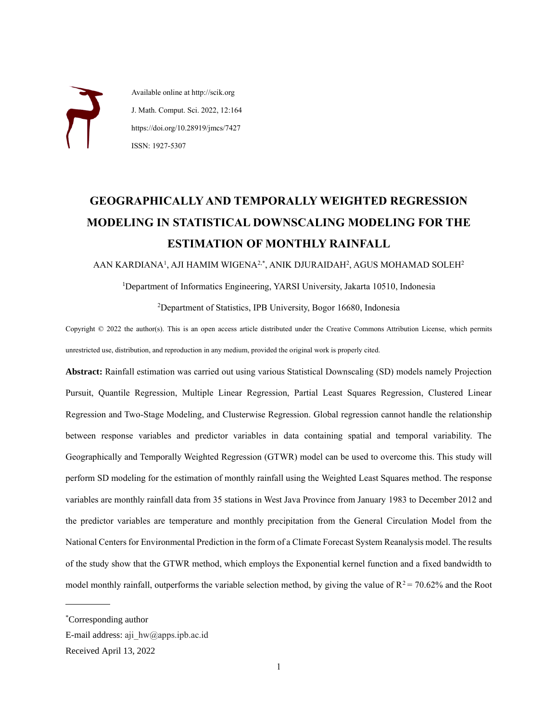Available online at http://scik.org J. Math. Comput. Sci. 2022, 12:164 https://doi.org/10.28919/jmcs/7427 ISSN: 1927-5307

# **GEOGRAPHICALLY AND TEMPORALLY WEIGHTED REGRESSION MODELING IN STATISTICAL DOWNSCALING MODELING FOR THE ESTIMATION OF MONTHLY RAINFALL**

AAN KARDIANA<sup>1</sup>, AJI HAMIM WIGENA<sup>2,\*</sup>, ANIK DJURAIDAH<sup>2</sup>, AGUS MOHAMAD SOLEH<sup>2</sup>

<sup>1</sup>Department of Informatics Engineering, YARSI University, Jakarta 10510, Indonesia

<sup>2</sup>Department of Statistics, IPB University, Bogor 16680, Indonesia

Copyright © 2022 the author(s). This is an open access article distributed under the Creative Commons Attribution License, which permits unrestricted use, distribution, and reproduction in any medium, provided the original work is properly cited.

**Abstract:** Rainfall estimation was carried out using various Statistical Downscaling (SD) models namely Projection Pursuit, Quantile Regression, Multiple Linear Regression, Partial Least Squares Regression, Clustered Linear Regression and Two-Stage Modeling, and Clusterwise Regression. Global regression cannot handle the relationship between response variables and predictor variables in data containing spatial and temporal variability. The Geographically and Temporally Weighted Regression (GTWR) model can be used to overcome this. This study will perform SD modeling for the estimation of monthly rainfall using the Weighted Least Squares method. The response variables are monthly rainfall data from 35 stations in West Java Province from January 1983 to December 2012 and the predictor variables are temperature and monthly precipitation from the General Circulation Model from the National Centers for Environmental Prediction in the form of a Climate Forecast System Reanalysis model. The results of the study show that the GTWR method, which employs the Exponential kernel function and a fixed bandwidth to model monthly rainfall, outperforms the variable selection method, by giving the value of  $R^2 = 70.62\%$  and the Root

 $\overline{a}$ 

<sup>\*</sup>Corresponding author

E-mail address: aji\_hw@apps.ipb.ac.id

Received April 13, 2022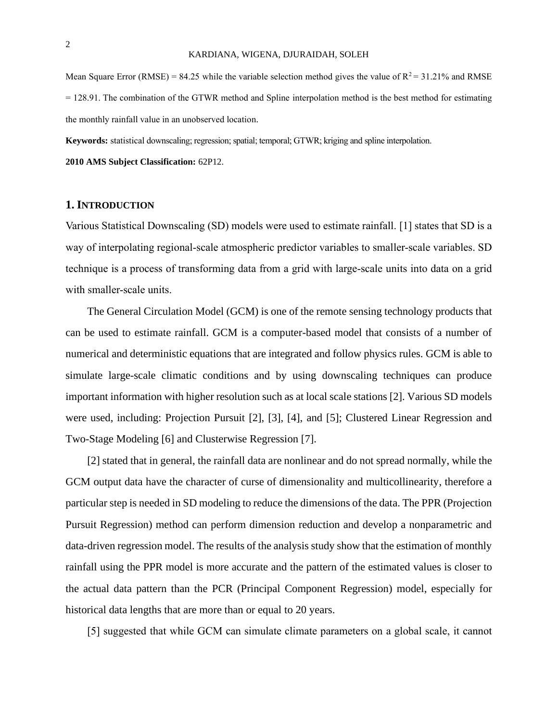Mean Square Error (RMSE) = 84.25 while the variable selection method gives the value of  $R^2$  = 31.21% and RMSE = 128.91. The combination of the GTWR method and Spline interpolation method is the best method for estimating the monthly rainfall value in an unobserved location.

**Keywords:** statistical downscaling; regression;spatial; temporal; GTWR; kriging and spline interpolation.

**2010 AMS Subject Classification:** 62P12.

#### **1. INTRODUCTION**

Various Statistical Downscaling (SD) models were used to estimate rainfall. [1] states that SD is a way of interpolating regional-scale atmospheric predictor variables to smaller-scale variables. SD technique is a process of transforming data from a grid with large-scale units into data on a grid with smaller-scale units.

The General Circulation Model (GCM) is one of the remote sensing technology products that can be used to estimate rainfall. GCM is a computer-based model that consists of a number of numerical and deterministic equations that are integrated and follow physics rules. GCM is able to simulate large-scale climatic conditions and by using downscaling techniques can produce important information with higher resolution such as at local scale stations [2]. Various SD models were used, including: Projection Pursuit [2], [3], [4], and [5]; Clustered Linear Regression and Two-Stage Modeling [6] and Clusterwise Regression [7].

[2] stated that in general, the rainfall data are nonlinear and do not spread normally, while the GCM output data have the character of curse of dimensionality and multicollinearity, therefore a particular step is needed in SD modeling to reduce the dimensions of the data. The PPR (Projection Pursuit Regression) method can perform dimension reduction and develop a nonparametric and data-driven regression model. The results of the analysis study show that the estimation of monthly rainfall using the PPR model is more accurate and the pattern of the estimated values is closer to the actual data pattern than the PCR (Principal Component Regression) model, especially for historical data lengths that are more than or equal to 20 years.

[5] suggested that while GCM can simulate climate parameters on a global scale, it cannot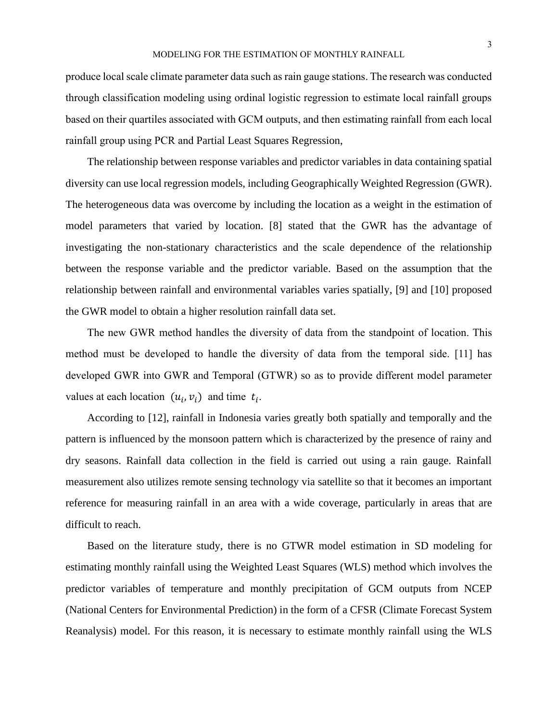produce local scale climate parameter data such as rain gauge stations. The research was conducted through classification modeling using ordinal logistic regression to estimate local rainfall groups based on their quartiles associated with GCM outputs, and then estimating rainfall from each local rainfall group using PCR and Partial Least Squares Regression,

The relationship between response variables and predictor variables in data containing spatial diversity can use local regression models, including Geographically Weighted Regression (GWR). The heterogeneous data was overcome by including the location as a weight in the estimation of model parameters that varied by location. [8] stated that the GWR has the advantage of investigating the non-stationary characteristics and the scale dependence of the relationship between the response variable and the predictor variable. Based on the assumption that the relationship between rainfall and environmental variables varies spatially, [9] and [10] proposed the GWR model to obtain a higher resolution rainfall data set.

The new GWR method handles the diversity of data from the standpoint of location. This method must be developed to handle the diversity of data from the temporal side. [11] has developed GWR into GWR and Temporal (GTWR) so as to provide different model parameter values at each location  $(u_i, v_i)$  and time  $t_i$ .

According to [12], rainfall in Indonesia varies greatly both spatially and temporally and the pattern is influenced by the monsoon pattern which is characterized by the presence of rainy and dry seasons. Rainfall data collection in the field is carried out using a rain gauge. Rainfall measurement also utilizes remote sensing technology via satellite so that it becomes an important reference for measuring rainfall in an area with a wide coverage, particularly in areas that are difficult to reach.

Based on the literature study, there is no GTWR model estimation in SD modeling for estimating monthly rainfall using the Weighted Least Squares (WLS) method which involves the predictor variables of temperature and monthly precipitation of GCM outputs from NCEP (National Centers for Environmental Prediction) in the form of a CFSR (Climate Forecast System Reanalysis) model. For this reason, it is necessary to estimate monthly rainfall using the WLS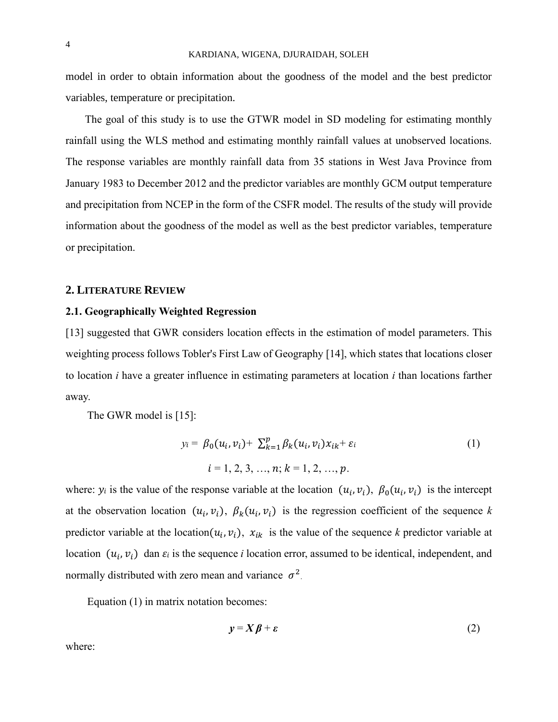model in order to obtain information about the goodness of the model and the best predictor variables, temperature or precipitation.

The goal of this study is to use the GTWR model in SD modeling for estimating monthly rainfall using the WLS method and estimating monthly rainfall values at unobserved locations. The response variables are monthly rainfall data from 35 stations in West Java Province from January 1983 to December 2012 and the predictor variables are monthly GCM output temperature and precipitation from NCEP in the form of the CSFR model. The results of the study will provide information about the goodness of the model as well as the best predictor variables, temperature or precipitation.

#### **2. LITERATURE REVIEW**

#### **2.1. Geographically Weighted Regression**

[13] suggested that GWR considers location effects in the estimation of model parameters. This weighting process follows Tobler's First Law of Geography [14], which states that locations closer to location *i* have a greater influence in estimating parameters at location *i* than locations farther away.

The GWR model is [15]:

$$
y_i = \beta_0(u_i, v_i) + \sum_{k=1}^p \beta_k(u_i, v_i) x_{ik} + \varepsilon_i
$$
  
\n
$$
i = 1, 2, 3, ..., n; k = 1, 2, ..., p.
$$
 (1)

where:  $y_i$  is the value of the response variable at the location  $(u_i, v_i)$ ,  $\beta_0(u_i, v_i)$  is the intercept at the observation location  $(u_i, v_i)$ ,  $\beta_k(u_i, v_i)$  is the regression coefficient of the sequence k predictor variable at the location( $u_i, v_i$ ),  $x_{ik}$  is the value of the sequence *k* predictor variable at location  $(u_i, v_i)$  dan  $\varepsilon_i$  is the sequence *i* location error, assumed to be identical, independent, and normally distributed with zero mean and variance  $\sigma^2$ .

Equation (1) in matrix notation becomes:

$$
y = X\beta + \varepsilon \tag{2}
$$

where: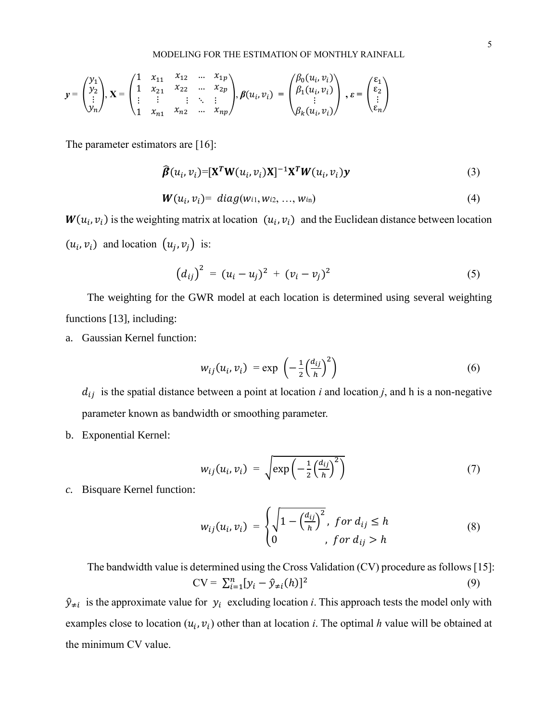$$
y = \begin{pmatrix} y_1 \\ y_2 \\ \vdots \\ y_n \end{pmatrix}, X = \begin{pmatrix} 1 & x_{11} & x_{12} & \dots & x_{1p} \\ 1 & x_{21} & x_{22} & \dots & x_{2p} \\ \vdots & \vdots & \vdots & \ddots & \vdots \\ 1 & x_{n1} & x_{n2} & \dots & x_{np} \end{pmatrix}, \beta(u_i, v_i) = \begin{pmatrix} \beta_0(u_i, v_i) \\ \beta_1(u_i, v_i) \\ \vdots \\ \beta_k(u_i, v_i) \end{pmatrix}, \varepsilon = \begin{pmatrix} \varepsilon_1 \\ \varepsilon_2 \\ \vdots \\ \varepsilon_n \end{pmatrix}
$$

The parameter estimators are [16]:

$$
\widehat{\boldsymbol{\beta}}(u_i, v_i) = [\mathbf{X}^T \mathbf{W}(u_i, v_i) \mathbf{X}]^{-1} \mathbf{X}^T \mathbf{W}(u_i, v_i) \mathbf{y} \tag{3}
$$

$$
W(ui, vi) = diag(wi1, wi2, ..., win)
$$
\n(4)

 $W(u_i, v_i)$  is the weighting matrix at location  $(u_i, v_i)$  and the Euclidean distance between location  $(u_i, v_i)$  and location  $(u_j, v_j)$  is:

$$
(d_{ij})^2 = (u_i - u_j)^2 + (v_i - v_j)^2 \tag{5}
$$

The weighting for the GWR model at each location is determined using several weighting functions [13], including:

a. Gaussian Kernel function:

$$
w_{ij}(u_i, v_i) = \exp\left(-\frac{1}{2}\left(\frac{d_{ij}}{h}\right)^2\right) \tag{6}
$$

 $d_{ij}$  is the spatial distance between a point at location *i* and location *j*, and h is a non-negative parameter known as bandwidth or smoothing parameter.

b. Exponential Kernel:

$$
w_{ij}(u_i, v_i) = \sqrt{\exp\left(-\frac{1}{2}\left(\frac{d_{ij}}{h}\right)^2\right)}
$$
(7)

*c.* Bisquare Kernel function:

$$
w_{ij}(u_i, v_i) = \begin{cases} \sqrt{1 - \left(\frac{d_{ij}}{h}\right)^2}, & \text{for } d_{ij} \le h\\ 0, & \text{for } d_{ij} > h \end{cases}
$$
 (8)

The bandwidth value is determined using the Cross Validation (CV) procedure as follows [15]:  $CV = \sum_{i=1}^{n} [y_i - \hat{y}_{\neq i}(h)]^2$ (9)

 $\hat{y}_{\neq i}$  is the approximate value for  $y_i$  excluding location *i*. This approach tests the model only with examples close to location  $(u_i, v_i)$  other than at location *i*. The optimal *h* value will be obtained at the minimum CV value.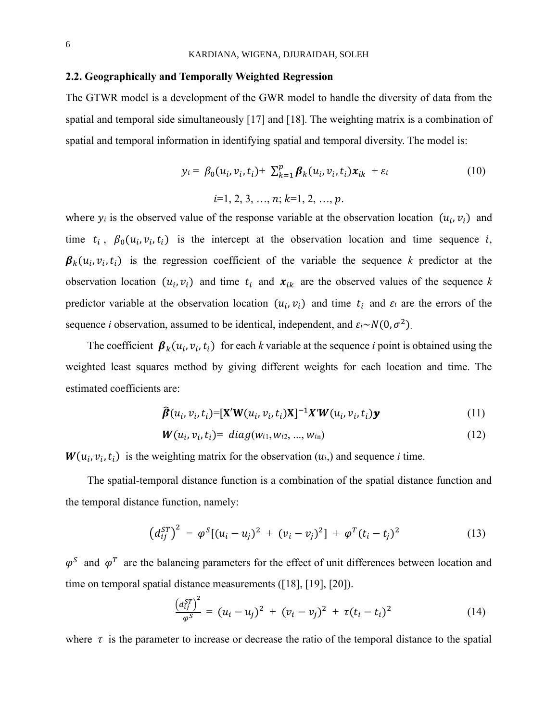#### **2.2. Geographically and Temporally Weighted Regression**

The GTWR model is a development of the GWR model to handle the diversity of data from the spatial and temporal side simultaneously [17] and [18]. The weighting matrix is a combination of spatial and temporal information in identifying spatial and temporal diversity. The model is:

$$
y_i = \beta_0(u_i, v_i, t_i) + \sum_{k=1}^p \beta_k(u_i, v_i, t_i) x_{ik} + \varepsilon_i
$$
  
\n
$$
i=1, 2, 3, ..., n; k=1, 2, ..., p.
$$
\n(10)

where  $y_i$  is the observed value of the response variable at the observation location  $(u_i, v_i)$  and time  $t_i$ ,  $\beta_0(u_i, v_i, t_i)$  is the intercept at the observation location and time sequence i,  $\beta_k(u_i, v_i, t_i)$  is the regression coefficient of the variable the sequence *k* predictor at the observation location  $(u_i, v_i)$  and time  $t_i$  and  $x_{ik}$  are the observed values of the sequence k predictor variable at the observation location  $(u_i, v_i)$  and time  $t_i$  and  $\varepsilon_i$  are the errors of the sequence *i* observation, assumed to be identical, independent, and  $\epsilon_i \sim N(0, \sigma^2)$ .

The coefficient  $\beta_k(u_i, v_i, t_i)$  for each *k* variable at the sequence *i* point is obtained using the weighted least squares method by giving different weights for each location and time. The estimated coefficients are:

$$
\widehat{\boldsymbol{\beta}}(u_i, v_i, t_i) = [\mathbf{X}' \mathbf{W}(u_i, v_i, t_i) \mathbf{X}]^{-1} \mathbf{X}' \mathbf{W}(u_i, v_i, t_i) \mathbf{y} \tag{11}
$$

$$
W(u_i, v_i, t_i) = diag(w_{i1}, w_{i2}, ..., w_{i_n})
$$
\n(12)

 $W(u_i, v_i, t_i)$  is the weighting matrix for the observation  $(u_i)$  and sequence *i* time.

The spatial-temporal distance function is a combination of the spatial distance function and the temporal distance function, namely:

$$
\left(d_{ij}^{ST}\right)^2 = \varphi^S\left[(u_i - u_j)^2 + (v_i - v_j)^2\right] + \varphi^T(t_i - t_j)^2 \tag{13}
$$

 $\varphi^S$  and  $\varphi^T$  are the balancing parameters for the effect of unit differences between location and time on temporal spatial distance measurements ([18], [19], [20]).

$$
\frac{(d_{ij}^{ST})^2}{\varphi^S} = (u_i - u_j)^2 + (v_i - v_j)^2 + \tau (t_i - t_i)^2 \tag{14}
$$

where  $\tau$  is the parameter to increase or decrease the ratio of the temporal distance to the spatial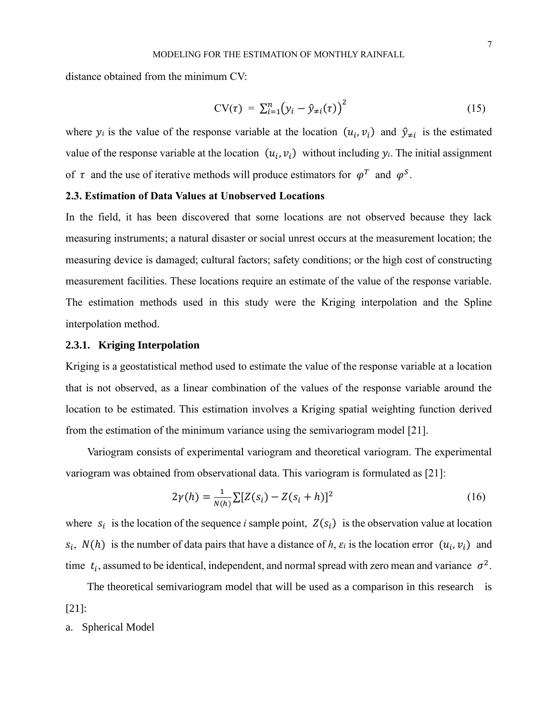distance obtained from the minimum CV:

$$
CV(\tau) = \sum_{i=1}^{n} (y_i - \hat{y}_{\neq i}(\tau))^2
$$
 (15)

where  $y_i$  is the value of the response variable at the location  $(u_i, v_i)$  and  $\hat{y}_{\neq i}$  is the estimated value of the response variable at the location  $(u_i, v_i)$  without including  $y_i$ . The initial assignment of  $\tau$  and the use of iterative methods will produce estimators for  $\varphi^T$  and  $\varphi^S$ .

### **2.3. Estimation of Data Values at Unobserved Locations**

In the field, it has been discovered that some locations are not observed because they lack measuring instruments; a natural disaster or social unrest occurs at the measurement location; the measuring device is damaged; cultural factors; safety conditions; or the high cost of constructing measurement facilities. These locations require an estimate of the value of the response variable. The estimation methods used in this study were the Kriging interpolation and the Spline interpolation method.

#### **2.3.1. Kriging Interpolation**

Kriging is a geostatistical method used to estimate the value of the response variable at a location that is not observed, as a linear combination of the values of the response variable around the location to be estimated. This estimation involves a Kriging spatial weighting function derived from the estimation of the minimum variance using the semivariogram model [21].

Variogram consists of experimental variogram and theoretical variogram. The experimental variogram was obtained from observational data. This variogram is formulated as [21]:

$$
2\gamma(h) = \frac{1}{N(h)} \sum [Z(s_i) - Z(s_i + h)]^2
$$
 (16)

where  $s_i$  is the location of the sequence *i* sample point,  $Z(s_i)$  is the observation value at location  $s_i$ ,  $N(h)$  is the number of data pairs that have a distance of h,  $\varepsilon_i$  is the location error  $(u_i, v_i)$  and time  $t_i$ , assumed to be identical, independent, and normal spread with zero mean and variance  $\sigma^2$ .

The theoretical semivariogram model that will be used as a comparison in this research is [21]:

a. Spherical Model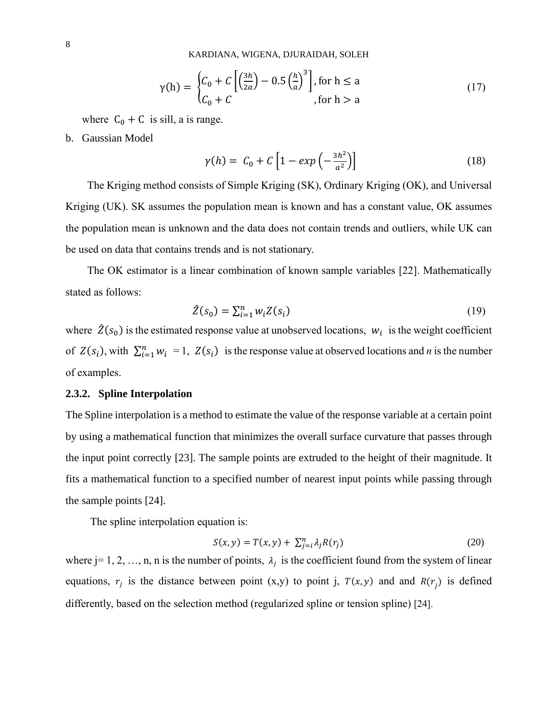KARDIANA, WIGENA, DJURAIDAH, SOLEH

$$
\gamma(h) = \begin{cases} C_0 + C \left[ \left( \frac{3h}{2a} \right) - 0.5 \left( \frac{h}{a} \right)^3 \right], \text{for } h \le a \\ C_0 + C \end{cases}
$$
 (17)

where  $C_0 + C$  is sill, a is range.

b. Gaussian Model

$$
\gamma(h) = C_0 + C \left[ 1 - exp\left(-\frac{3h^2}{a^2}\right) \right] \tag{18}
$$

The Kriging method consists of Simple Kriging (SK), Ordinary Kriging (OK), and Universal Kriging (UK). SK assumes the population mean is known and has a constant value, OK assumes the population mean is unknown and the data does not contain trends and outliers, while UK can be used on data that contains trends and is not stationary.

The OK estimator is a linear combination of known sample variables [22]. Mathematically stated as follows:

$$
\hat{Z}(s_0) = \sum_{i=1}^n w_i Z(s_i) \tag{19}
$$

where  $\hat{Z}(s_0)$  is the estimated response value at unobserved locations,  $w_i$  is the weight coefficient of  $Z(s_i)$ , with  $\sum_{i=1}^n w_i = 1$ ,  $Z(s_i)$  is the response value at observed locations and *n* is the number of examples.

#### **2.3.2. Spline Interpolation**

The Spline interpolation is a method to estimate the value of the response variable at a certain point by using a mathematical function that minimizes the overall surface curvature that passes through the input point correctly [23]. The sample points are extruded to the height of their magnitude. It fits a mathematical function to a specified number of nearest input points while passing through the sample points [24].

The spline interpolation equation is:

$$
S(x, y) = T(x, y) + \sum_{j=i}^{n} \lambda_j R(r_j)
$$
\n(20)

where j= 1, 2, …, n, n is the number of points,  $\lambda_j$  is the coefficient found from the system of linear equations,  $r_j$  is the distance between point (x,y) to point j,  $T(x, y)$  and and  $R(r_j)$  is defined differently, based on the selection method (regularized spline or tension spline) [24].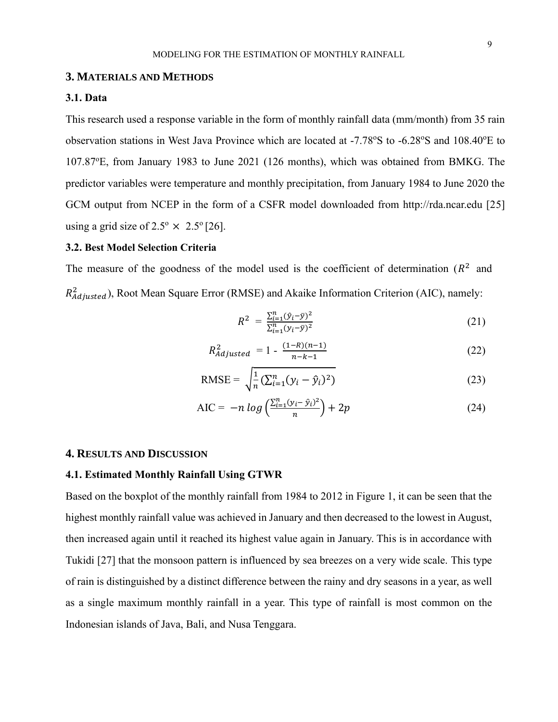#### **3. MATERIALS AND METHODS**

#### **3.1. Data**

This research used a response variable in the form of monthly rainfall data (mm/month) from 35 rain observation stations in West Java Province which are located at -7.78°S to -6.28°S and 108.40°E to 107.87<sup>o</sup>E, from January 1983 to June 2021 (126 months), which was obtained from BMKG. The predictor variables were temperature and monthly precipitation, from January 1984 to June 2020 the GCM output from NCEP in the form of a CSFR model downloaded from http://rda.ncar.edu [25] using a grid size of  $2.5^{\circ} \times 2.5^{\circ}$  [26].

## **3.2. Best Model Selection Criteria**

The measure of the goodness of the model used is the coefficient of determination ( $R<sup>2</sup>$  and  $R_{adjusted}^2$ ), Root Mean Square Error (RMSE) and Akaike Information Criterion (AIC), namely:

$$
R^2 = \frac{\sum_{i=1}^{n} (\hat{y}_i - \bar{y})^2}{\sum_{i=1}^{n} (y_i - \bar{y})^2}
$$
 (21)

$$
R_{adjusted}^{2} = 1 - \frac{(1 - R)(n - 1)}{n - k - 1}
$$
 (22)

RMSE = 
$$
\sqrt{\frac{1}{n} (\sum_{i=1}^{n} (y_i - \hat{y}_i)^2)}
$$
 (23)

$$
AIC = -n \log \left( \frac{\sum_{i=1}^{n} (y_i - \hat{y}_i)^2}{n} \right) + 2p \tag{24}
$$

#### **4. RESULTS AND DISCUSSION**

#### **4.1. Estimated Monthly Rainfall Using GTWR**

Based on the boxplot of the monthly rainfall from 1984 to 2012 in Figure 1, it can be seen that the highest monthly rainfall value was achieved in January and then decreased to the lowest in August, then increased again until it reached its highest value again in January. This is in accordance with Tukidi [27] that the monsoon pattern is influenced by sea breezes on a very wide scale. This type of rain is distinguished by a distinct difference between the rainy and dry seasons in a year, as well as a single maximum monthly rainfall in a year. This type of rainfall is most common on the Indonesian islands of Java, Bali, and Nusa Tenggara.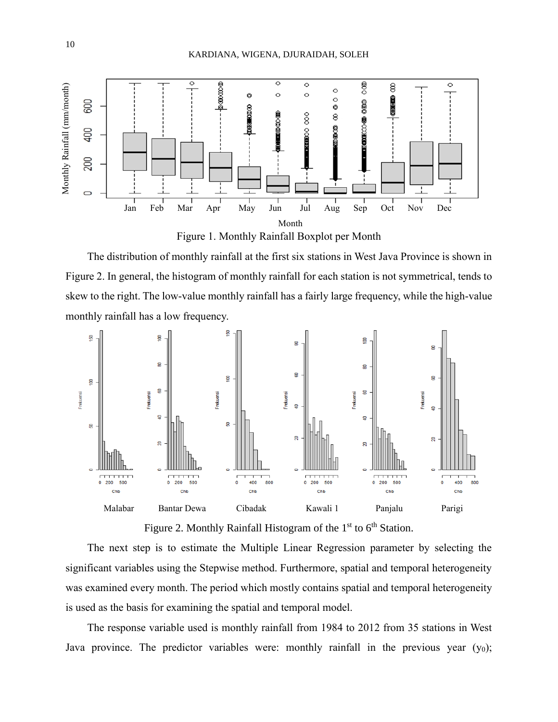

Figure 1. Monthly Rainfall Boxplot per Month

The distribution of monthly rainfall at the first six stations in West Java Province is shown in Figure 2. In general, the histogram of monthly rainfall for each station is not symmetrical, tends to skew to the right. The low-value monthly rainfall has a fairly large frequency, while the high-value monthly rainfall has a low frequency.



Figure 2. Monthly Rainfall Histogram of the  $1<sup>st</sup>$  to  $6<sup>th</sup>$  Station.

The next step is to estimate the Multiple Linear Regression parameter by selecting the significant variables using the Stepwise method. Furthermore, spatial and temporal heterogeneity was examined every month. The period which mostly contains spatial and temporal heterogeneity is used as the basis for examining the spatial and temporal model.

The response variable used is monthly rainfall from 1984 to 2012 from 35 stations in West Java province. The predictor variables were: monthly rainfall in the previous year  $(y_0)$ ;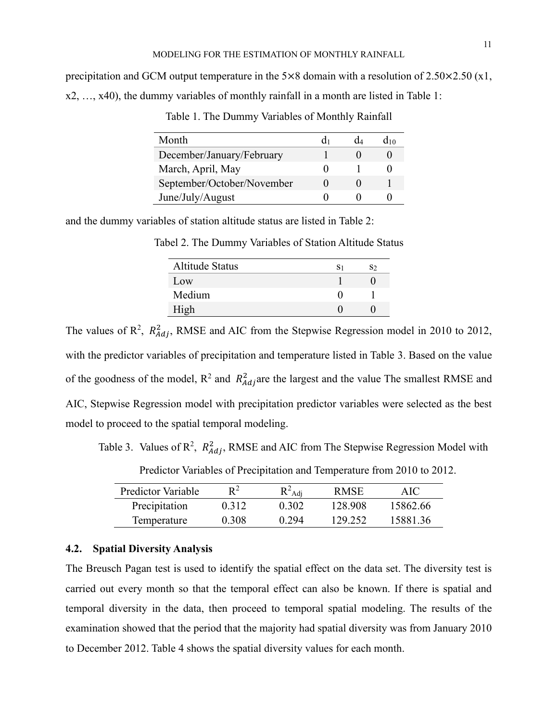precipitation and GCM output temperature in the  $5\times 8$  domain with a resolution of  $2.50\times 2.50$  (x1, x2, …, x40), the dummy variables of monthly rainfall in a month are listed in Table 1:

| Month                      |  | d10 |
|----------------------------|--|-----|
| December/January/February  |  |     |
| March, April, May          |  |     |
| September/October/November |  |     |
| June/July/August           |  |     |

Table 1. The Dummy Variables of Monthly Rainfall

and the dummy variables of station altitude status are listed in Table 2:

Tabel 2. The Dummy Variables of Station Altitude Status

| <b>Altitude Status</b> | S1 | S2 |
|------------------------|----|----|
| Low                    |    |    |
| Medium                 |    |    |
| High                   |    |    |

The values of  $\mathbb{R}^2$ ,  $\mathbb{R}^2_{Adj}$ , RMSE and AIC from the Stepwise Regression model in 2010 to 2012, with the predictor variables of precipitation and temperature listed in Table 3. Based on the value of the goodness of the model,  $R^2$  and  $R^2_{Adj}$  are the largest and the value The smallest RMSE and AIC, Stepwise Regression model with precipitation predictor variables were selected as the best model to proceed to the spatial temporal modeling.

Table 3. Values of  $\mathbb{R}^2$ ,  $R_{Adj}^2$ , RMSE and AIC from The Stepwise Regression Model with

| Predictor Variable | $\mathbf{D}^2$ | $P^2$ Adj | <b>RMSE</b> | AIC      |
|--------------------|----------------|-----------|-------------|----------|
| Precipitation      | 0.312          | 0.302     | 128.908     | 15862.66 |
| Temperature        | 0.308          | 0.294     | 129.252     | 15881.36 |

Predictor Variables of Precipitation and Temperature from 2010 to 2012.

#### **4.2. Spatial Diversity Analysis**

The Breusch Pagan test is used to identify the spatial effect on the data set. The diversity test is carried out every month so that the temporal effect can also be known. If there is spatial and temporal diversity in the data, then proceed to temporal spatial modeling. The results of the examination showed that the period that the majority had spatial diversity was from January 2010 to December 2012. Table 4 shows the spatial diversity values for each month.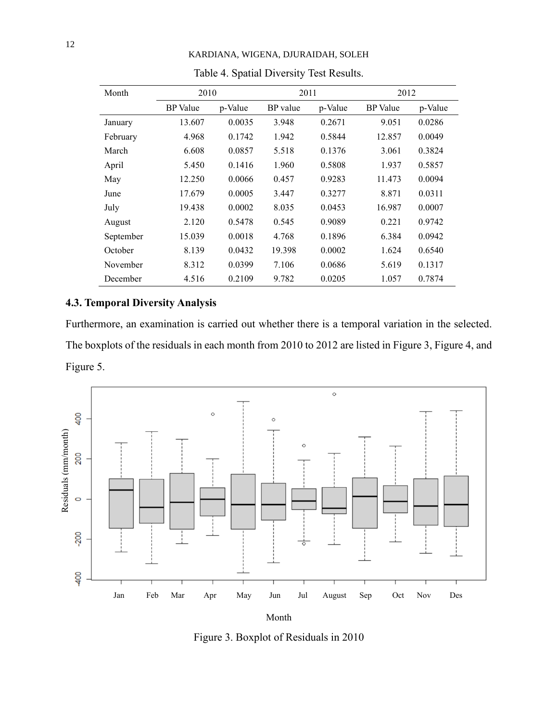| Month     | 2010            |         | 2011     |         | 2012            |         |
|-----------|-----------------|---------|----------|---------|-----------------|---------|
|           | <b>BP</b> Value | p-Value | BP value | p-Value | <b>BP</b> Value | p-Value |
| January   | 13.607          | 0.0035  | 3.948    | 0.2671  | 9.051           | 0.0286  |
| February  | 4.968           | 0.1742  | 1.942    | 0.5844  | 12.857          | 0.0049  |
| March     | 6.608           | 0.0857  | 5.518    | 0.1376  | 3.061           | 0.3824  |
| April     | 5.450           | 0.1416  | 1.960    | 0.5808  | 1.937           | 0.5857  |
| May       | 12.250          | 0.0066  | 0.457    | 0.9283  | 11.473          | 0.0094  |
| June      | 17.679          | 0.0005  | 3.447    | 0.3277  | 8.871           | 0.0311  |
| July      | 19.438          | 0.0002  | 8.035    | 0.0453  | 16.987          | 0.0007  |
| August    | 2.120           | 0.5478  | 0.545    | 0.9089  | 0.221           | 0.9742  |
| September | 15.039          | 0.0018  | 4.768    | 0.1896  | 6.384           | 0.0942  |
| October   | 8.139           | 0.0432  | 19.398   | 0.0002  | 1.624           | 0.6540  |
| November  | 8.312           | 0.0399  | 7.106    | 0.0686  | 5.619           | 0.1317  |
| December  | 4.516           | 0.2109  | 9.782    | 0.0205  | 1.057           | 0.7874  |

KARDIANA, WIGENA, DJURAIDAH, SOLEH

## Table 4. Spatial Diversity Test Results.

## **4.3. Temporal Diversity Analysis**

Furthermore, an examination is carried out whether there is a temporal variation in the selected. The boxplots of the residuals in each month from 2010 to 2012 are listed in Figure 3, Figure 4, and Figure 5.



Figure 3. Boxplot of Residuals in 2010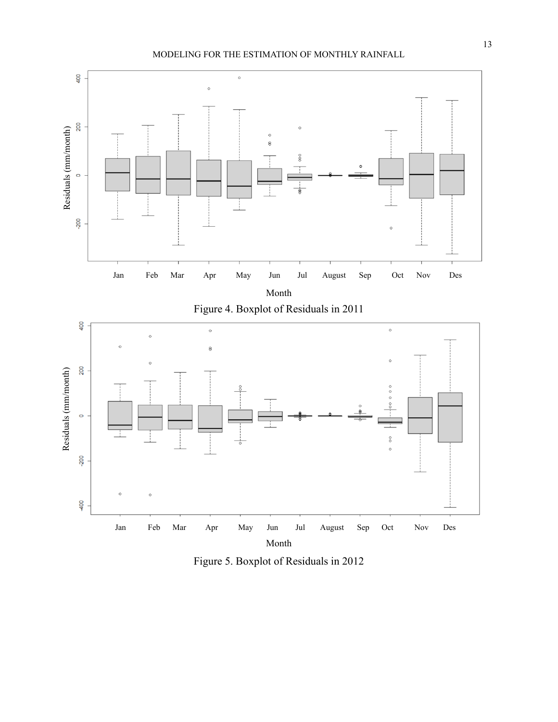#### MODELING FOR THE ESTIMATION OF MONTHLY RAINFALL



Figure 5. Boxplot of Residuals in 2012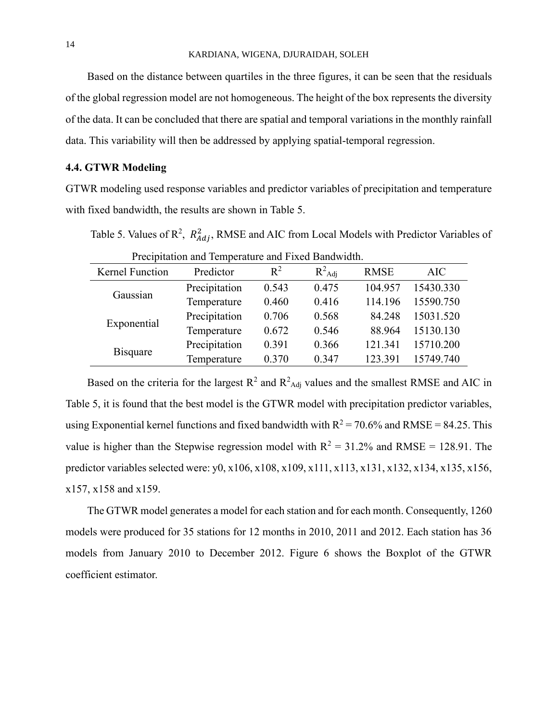Based on the distance between quartiles in the three figures, it can be seen that the residuals of the global regression model are not homogeneous. The height of the box represents the diversity of the data. It can be concluded that there are spatial and temporal variations in the monthly rainfall data. This variability will then be addressed by applying spatial-temporal regression.

## **4.4. GTWR Modeling**

GTWR modeling used response variables and predictor variables of precipitation and temperature with fixed bandwidth, the results are shown in Table 5.

Table 5. Values of  $\mathbb{R}^2$ ,  $R_{Adj}^2$ , RMSE and AIC from Local Models with Predictor Variables of

|  |                 | Precipitation and Temperature and Fixed Bandwidth. |  |  |              |
|--|-----------------|----------------------------------------------------|--|--|--------------|
|  | $\mathbf{D}$ 1. |                                                    |  |  | $\mathbf{D}$ |

| Kernel Function | Predictor     | $R^2$ | $R^2$ Adj | <b>RMSE</b> | <b>AIC</b> |
|-----------------|---------------|-------|-----------|-------------|------------|
|                 | Precipitation | 0.543 | 0.475     | 104.957     | 15430.330  |
| Gaussian        | Temperature   | 0.460 | 0.416     | 114.196     | 15590.750  |
| Exponential     | Precipitation | 0.706 | 0.568     | 84.248      | 15031.520  |
|                 | Temperature   | 0.672 | 0.546     | 88.964      | 15130.130  |
| <b>Bisquare</b> | Precipitation | 0.391 | 0.366     | 121.341     | 15710.200  |
|                 | Temperature   | 0.370 | 0.347     | 123.391     | 15749.740  |

Based on the criteria for the largest  $R^2$  and  $R^2$ <sub>Adj</sub> values and the smallest RMSE and AIC in Table 5, it is found that the best model is the GTWR model with precipitation predictor variables, using Exponential kernel functions and fixed bandwidth with  $R^2 = 70.6\%$  and RMSE = 84.25. This value is higher than the Stepwise regression model with  $R^2 = 31.2\%$  and RMSE = 128.91. The predictor variables selected were: y0, x106, x108, x109, x111, x113, x131, x132, x134, x135, x156, x157, x158 and x159.

The GTWR model generates a model for each station and for each month. Consequently, 1260 models were produced for 35 stations for 12 months in 2010, 2011 and 2012. Each station has 36 models from January 2010 to December 2012. Figure 6 shows the Boxplot of the GTWR coefficient estimator.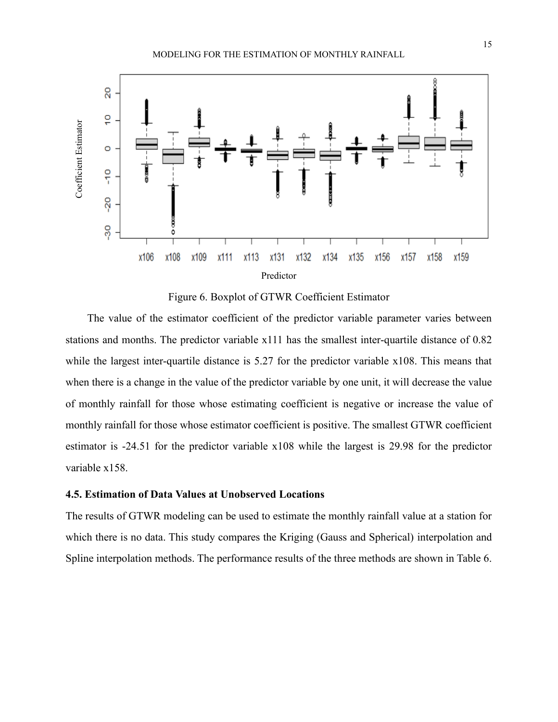

Figure 6. Boxplot of GTWR Coefficient Estimator

The value of the estimator coefficient of the predictor variable parameter varies between stations and months. The predictor variable x111 has the smallest inter-quartile distance of 0.82 while the largest inter-quartile distance is 5.27 for the predictor variable x108. This means that when there is a change in the value of the predictor variable by one unit, it will decrease the value of monthly rainfall for those whose estimating coefficient is negative or increase the value of monthly rainfall for those whose estimator coefficient is positive. The smallest GTWR coefficient estimator is -24.51 for the predictor variable x108 while the largest is 29.98 for the predictor variable x158.

## **4.5. Estimation of Data Values at Unobserved Locations**

The results of GTWR modeling can be used to estimate the monthly rainfall value at a station for which there is no data. This study compares the Kriging (Gauss and Spherical) interpolation and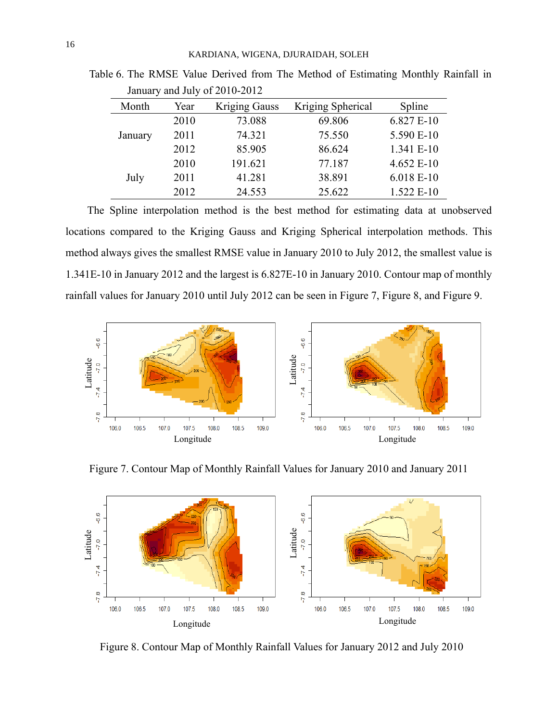| Month   | Year | <b>Kriging Gauss</b> | Kriging Spherical | Spline     |
|---------|------|----------------------|-------------------|------------|
|         | 2010 | 73.088               | 69.806            | 6.827 E-10 |
| January | 2011 | 74.321               | 75.550            | 5.590 E-10 |
|         | 2012 | 85.905               | 86.624            | 1.341 E-10 |
|         | 2010 | 191.621              | 77.187            | 4.652 E-10 |
| July    | 2011 | 41.281               | 38.891            | 6.018 E-10 |
|         | 2012 | 24.553               | 25.622            | 1.522 E-10 |

Table 6. The RMSE Value Derived from The Method of Estimating Monthly Rainfall in January and July of 2010-2012

The Spline interpolation method is the best method for estimating data at unobserved locations compared to the Kriging Gauss and Kriging Spherical interpolation methods. This method always gives the smallest RMSE value in January 2010 to July 2012, the smallest value is 1.341E-10 in January 2012 and the largest is 6.827E-10 in January 2010. Contour map of monthly rainfall values for January 2010 until July 2012 can be seen in Figure 7, Figure 8, and Figure 9.



Figure 7. Contour Map of Monthly Rainfall Values for January 2010 and January 2011



Figure 8. Contour Map of Monthly Rainfall Values for January 2012 and July 2010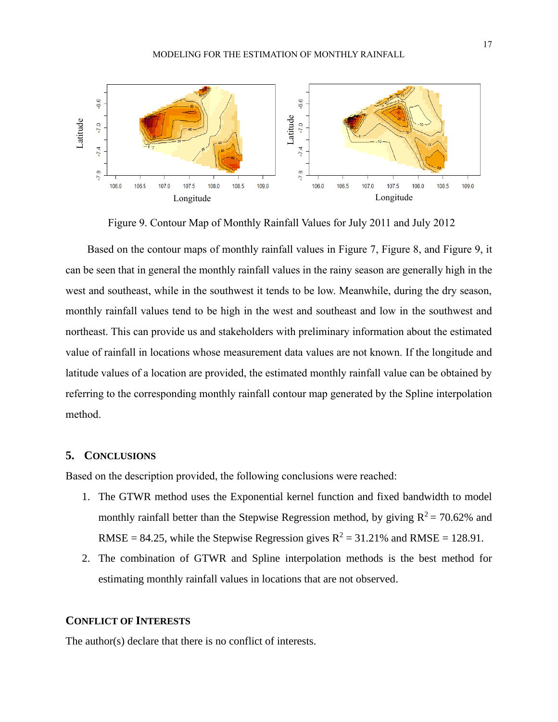

Figure 9. Contour Map of Monthly Rainfall Values for July 2011 and July 2012

Based on the contour maps of monthly rainfall values in Figure 7, Figure 8, and Figure 9, it can be seen that in general the monthly rainfall values in the rainy season are generally high in the west and southeast, while in the southwest it tends to be low. Meanwhile, during the dry season, monthly rainfall values tend to be high in the west and southeast and low in the southwest and northeast. This can provide us and stakeholders with preliminary information about the estimated value of rainfall in locations whose measurement data values are not known. If the longitude and latitude values of a location are provided, the estimated monthly rainfall value can be obtained by referring to the corresponding monthly rainfall contour map generated by the Spline interpolation method. The author(s) declare that there is no conflict of interests.<br>The author(s) declare that there is no conflict of interests.<br>The author(s) declare that the set of interests.<br>This can provide us and stakeholders with predic

### **5. CONCLUSIONS**

Based on the description provided, the following conclusions were reached:

- 1. The GTWR method uses the Exponential kernel function and fixed bandwidth to model monthly rainfall better than the Stepwise Regression method, by giving  $R^2 = 70.62\%$  and RMSE = 84.25, while the Stepwise Regression gives  $R^2 = 31.21\%$  and RMSE = 128.91.
- 2. The combination of GTWR and Spline interpolation methods is the best method for estimating monthly rainfall values in locations that are not observed.

### **CONFLICT OF INTERESTS**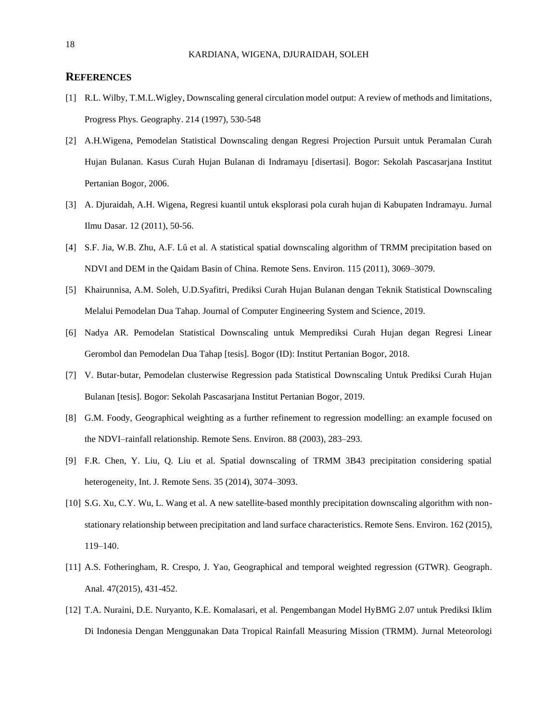#### **REFERENCES**

- [1] R.L. Wilby, T.M.L.Wigley, Downscaling general circulation model output: A review of methods and limitations, Progress Phys. Geography. 214 (1997), 530-548
- [2] A.H.Wigena, Pemodelan Statistical Downscaling dengan Regresi Projection Pursuit untuk Peramalan Curah Hujan Bulanan. Kasus Curah Hujan Bulanan di Indramayu [disertasi]. Bogor: Sekolah Pascasarjana Institut Pertanian Bogor, 2006.
- [3] A. Djuraidah, A.H. Wigena, Regresi kuantil untuk eksplorasi pola curah hujan di Kabupaten Indramayu. Jurnal Ilmu Dasar. 12 (2011), 50-56.
- [4] S.F. Jia, W.B. Zhu, A.F. Lű et al. A statistical spatial downscaling algorithm of TRMM precipitation based on NDVI and DEM in the Qaidam Basin of China. Remote Sens. Environ. 115 (2011), 3069–3079.
- [5] Khairunnisa, A.M. Soleh, U.D.Syafitri, Prediksi Curah Hujan Bulanan dengan Teknik Statistical Downscaling Melalui Pemodelan Dua Tahap. Journal of Computer Engineering System and Science, 2019.
- [6] Nadya AR. Pemodelan Statistical Downscaling untuk Memprediksi Curah Hujan degan Regresi Linear Gerombol dan Pemodelan Dua Tahap [tesis]. Bogor (ID): Institut Pertanian Bogor, 2018.
- [7] V. Butar-butar, Pemodelan clusterwise Regression pada Statistical Downscaling Untuk Prediksi Curah Hujan Bulanan [tesis]. Bogor: Sekolah Pascasarjana Institut Pertanian Bogor, 2019.
- [8] G.M. Foody, Geographical weighting as a further refinement to regression modelling: an example focused on the NDVI–rainfall relationship. Remote Sens. Environ. 88 (2003), 283–293.
- [9] F.R. Chen, Y. Liu, Q. Liu et al. Spatial downscaling of TRMM 3B43 precipitation considering spatial heterogeneity, Int. J. Remote Sens. 35 (2014), 3074–3093.
- [10] S.G. Xu, C.Y. Wu, L. Wang et al. A new satellite-based monthly precipitation downscaling algorithm with nonstationary relationship between precipitation and land surface characteristics. Remote Sens. Environ. 162 (2015), 119–140.
- [11] A.S. Fotheringham, R. Crespo, J. Yao, Geographical and temporal weighted regression (GTWR). Geograph. Anal. 47(2015), 431-452.
- [12] T.A. Nuraini, D.E. Nuryanto, K.E. Komalasari, et al. Pengembangan Model HyBMG 2.07 untuk Prediksi Iklim Di Indonesia Dengan Menggunakan Data Tropical Rainfall Measuring Mission (TRMM). Jurnal Meteorologi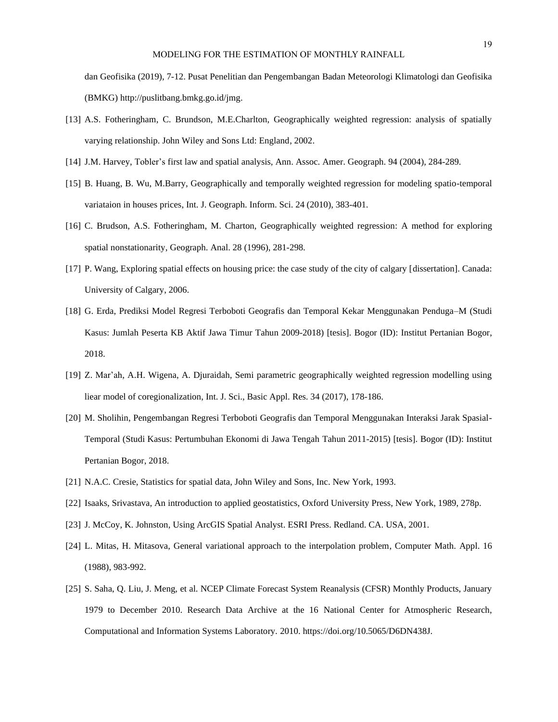#### MODELING FOR THE ESTIMATION OF MONTHLY RAINFALL

dan Geofisika (2019), 7-12. Pusat Penelitian dan Pengembangan Badan Meteorologi Klimatologi dan Geofisika (BMKG) http://puslitbang.bmkg.go.id/jmg.

- [13] A.S. Fotheringham, C. Brundson, M.E.Charlton, Geographically weighted regression: analysis of spatially varying relationship. John Wiley and Sons Ltd: England, 2002.
- [14] J.M. Harvey, Tobler's first law and spatial analysis, Ann. Assoc. Amer. Geograph. 94 (2004), 284-289.
- [15] B. Huang, B. Wu, M.Barry, Geographically and temporally weighted regression for modeling spatio-temporal variataion in houses prices, Int. J. Geograph. Inform. Sci. 24 (2010), 383-401.
- [16] C. Brudson, A.S. Fotheringham, M. Charton, Geographically weighted regression: A method for exploring spatial nonstationarity, Geograph. Anal. 28 (1996), 281-298.
- [17] P. Wang, Exploring spatial effects on housing price: the case study of the city of calgary [dissertation]. Canada: University of Calgary, 2006.
- [18] G. Erda, Prediksi Model Regresi Terboboti Geografis dan Temporal Kekar Menggunakan Penduga–M (Studi Kasus: Jumlah Peserta KB Aktif Jawa Timur Tahun 2009-2018) [tesis]. Bogor (ID): Institut Pertanian Bogor, 2018.
- [19] Z. Mar'ah, A.H. Wigena, A. Djuraidah, Semi parametric geographically weighted regression modelling using liear model of coregionalization, Int. J. Sci., Basic Appl. Res. 34 (2017), 178-186.
- [20] M. Sholihin, Pengembangan Regresi Terboboti Geografis dan Temporal Menggunakan Interaksi Jarak Spasial-Temporal (Studi Kasus: Pertumbuhan Ekonomi di Jawa Tengah Tahun 2011-2015) [tesis]. Bogor (ID): Institut Pertanian Bogor, 2018.
- [21] N.A.C. Cresie, Statistics for spatial data, John Wiley and Sons, Inc. New York, 1993.
- [22] Isaaks, Srivastava, An introduction to applied geostatistics, Oxford University Press, New York, 1989, 278p.
- [23] J. McCoy, K. Johnston, Using ArcGIS Spatial Analyst. ESRI Press. Redland. CA. USA, 2001.
- [24] L. Mitas, H. Mitasova, General variational approach to the interpolation problem, Computer Math. Appl. 16 (1988), 983-992.
- [25] S. Saha, Q. Liu, J. Meng, et al. NCEP Climate Forecast System Reanalysis (CFSR) Monthly Products, January 1979 to December 2010. Research Data Archive at the 16 National Center for Atmospheric Research, Computational and Information Systems Laboratory. 2010. https://doi.org/10.5065/D6DN438J.